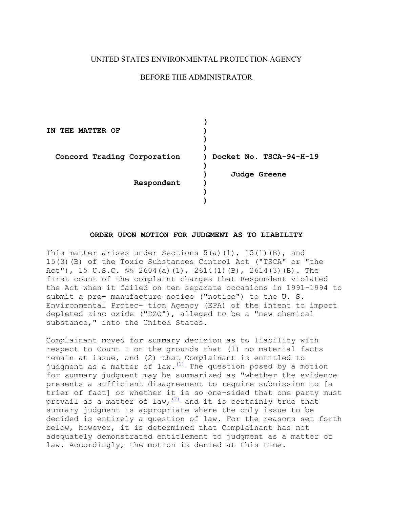## UNITED STATES ENVIRONMENTAL PROTECTION AGENCY

## BEFORE THE ADMINISTRATOR

| THE MATTER OF<br>TN         |                         |
|-----------------------------|-------------------------|
| Concord Trading Corporation | Docket No. TSCA-94-H-19 |
| Respondent                  | Judge Greene            |
|                             |                         |

## **ORDER UPON MOTION FOR JUDGMENT AS TO LIABILITY**

This matter arises under Sections  $5(a)(1)$ ,  $15(1)(B)$ , and 15(3)(B) of the Toxic Substances Control Act ("TSCA" or "the Act"), 15 U.S.C. §§ 2604(a)(1), 2614(1)(B), 2614(3)(B). The first count of the complaint charges that Respondent violated the Act when it failed on ten separate occasions in 1991-1994 to submit a pre- manufacture notice ("notice") to the U. S. Environmental Protec- tion Agency (EPA) of the intent to import depleted zinc oxide ("DZO"), alleged to be a "new chemical substance," into the United States.

Complainant moved for summary decision as to liability with respect to Count I on the grounds that (1) no material facts remain at issue, and (2) that Complainant is entitled to judgment as a matter of law. $\frac{(1)}{1}$  The question posed by a motion for summary judgment may be summarized as "whether the evidence presents a sufficient disagreement to require submission to [a trier of fact] or whether it is so one-sided that one party must prevail as a matter of law,  $\frac{(2)}{2}$  and it is certainly true that summary judgment is appropriate where the only issue to be decided is entirely a question of law. For the reasons set forth below, however, it is determined that Complainant has not adequately demonstrated entitlement to judgment as a matter of law. Accordingly, the motion is denied at this time.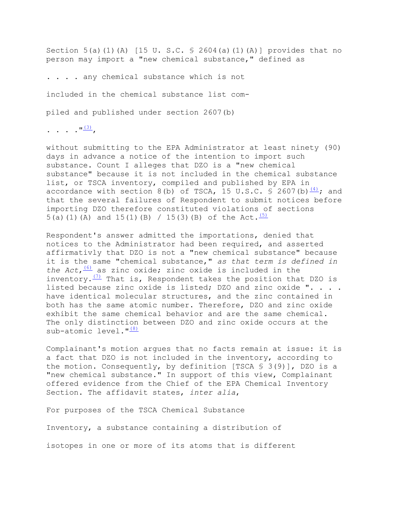Section 5(a)(1)(A) [15 U. S.C. § 2604(a)(1)(A)] provides that no person may import a "new chemical substance," defined as

. . . . any chemical substance which is not

included in the chemical substance list com-

piled and published under section 2607(b)

 $\cdot \cdot \cdot \cdot \cdot \cdot \cdot \cdot \cdot$ 

 $5(a)(1)(A)$  and  $15(1)(B)$  /  $15(3)(B)$  of the Act.<sup>(5)</sup> without submitting to the EPA Administrator at least ninety (90) days in advance a notice of the intention to import such substance. Count I alleges that DZO is a "new chemical substance" because it is not included in the chemical substance list, or TSCA inventory, compiled and published by EPA in accordance with section 8(b) of TSCA, 15 U.S.C. § 2607(b) $\frac{(4)}{4}$ ; and that the several failures of Respondent to submit notices before importing DZO therefore constituted violations of sections

sub-atomic level."<sup>[\(8\)](file://w1818tdcay008/share/Projects/rxx00031/dev_internet_aljhomep/web/orders/cconcord.htm%23N_8_)</sup> Respondent's answer admitted the importations, denied that notices to the Administrator had been required, and asserted affirmativly that DZO is not a "new chemical substance" because it is the same "chemical substance," *as that term is defined in*  the  $Act, \frac{(6)}{6}$  $Act, \frac{(6)}{6}$  $Act, \frac{(6)}{6}$  as zinc oxide; zinc oxide is included in the inventory. $\frac{(7)}{12}$  That is, Respondent takes the position that DZO is listed because zinc oxide is listed; DZO and zinc oxide ". . . . have identical molecular structures, and the zinc contained in both has the same atomic number. Therefore, DZO and zinc oxide exhibit the same chemical behavior and are the same chemical. The only distinction between DZO and zinc oxide occurs at the

Complainant's motion argues that no facts remain at issue: it is a fact that DZO is not included in the inventory, according to the motion. Consequently, by definition [TSCA § 3(9)], DZO is a "new chemical substance." In support of this view, Complainant offered evidence from the Chief of the EPA Chemical Inventory Section. The affidavit states, *inter alia*,

For purposes of the TSCA Chemical Substance

Inventory, a substance containing a distribution of

isotopes in one or more of its atoms that is different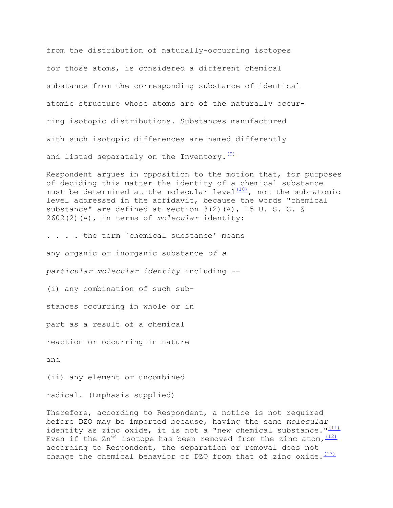atomic structure whose atoms are of the naturally occurand listed separately on the Inventory. $\frac{(9)}{2}$ from the distribution of naturally-occurring isotopes for those atoms, is considered a different chemical substance from the corresponding substance of identical ring isotopic distributions. Substances manufactured with such isotopic differences are named differently

Respondent argues in opposition to the motion that, for purposes of deciding this matter the identity of a chemical substance must be determined at the molecular level $(10)$ , not the sub-atomic level addressed in the affidavit, because the words "chemical substance" are defined at section  $3(2)(A)$ , 15 U.S.C. § 2602(2)(A), in terms of *molecular* identity:

. . . . the term `chemical substance' means

any organic or inorganic substance *of a* 

*particular molecular identity* including -

(i) any combination of such sub-

stances occurring in whole or in

part as a result of a chemical

reaction or occurring in nature

and

(ii) any element or uncombined

radical. (Emphasis supplied)

change the chemical behavior of DZO from that of zinc oxide. $\frac{(13)}{(13)}$ Therefore, according to Respondent, a notice is not required before DZO may be imported because, having the same *molecular*  identity as zinc oxide, it is not a "new chemical substance." $(11)$ Even if the  $2n^{64}$  isotope has been removed from the zinc atom,  $(12)$ according to Respondent, the separation or removal does not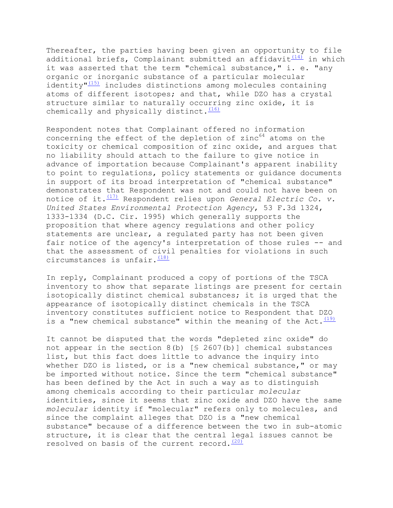chemically and physically distinct. (16) Thereafter, the parties having been given an opportunity to file additional briefs, Complainant submitted an affidavit $(14)$  in which it was asserted that the term "chemical substance," i. e. "any organic or inorganic substance of a particular molecular identity" $(15)$  includes distinctions among molecules containing atoms of different isotopes; and that, while DZO has a crystal structure similar to naturally occurring zinc oxide, it is

circumstances is unfair. [\(18\)](file://w1818tdcay008/share/Projects/rxx00031/dev_internet_aljhomep/web/orders/cconcord.htm%23N_18_) Respondent notes that Complainant offered no information concerning the effect of the depletion of  $zinc^{64}$  atoms on the toxicity or chemical composition of zinc oxide, and argues that no liability should attach to the failure to give notice in advance of importation because Complainant's apparent inability to point to regulations, policy statements or guidance documents in support of its broad interpretation of "chemical substance" demonstrates that Respondent was not and could not have been on notice of it.<sup>(17)</sup> Respondent relies upon *General Electric Co. v. United States Environmental Protection Agency*, 53 F.3d 1324, 1333-1334 (D.C. Cir. 1995) which generally supports the proposition that where agency regulations and other policy statements are unclear, a regulated party has not been given fair notice of the agency's interpretation of those rules -- and that the assessment of civil penalties for violations in such

is a "new chemical substance" within the meaning of the Act.  $(19)$ In reply, Complainant produced a copy of portions of the TSCA inventory to show that separate listings are present for certain isotopically distinct chemical substances; it is urged that the appearance of isotopically distinct chemicals in the TSCA inventory constitutes sufficient notice to Respondent that DZO

resolved on basis of the current record.  $(20)$ It cannot be disputed that the words "depleted zinc oxide" do not appear in the section 8(b) [§ 2607(b)] chemical substances list, but this fact does little to advance the inquiry into whether DZO is listed, or is a "new chemical substance," or may be imported without notice. Since the term "chemical substance" has been defined by the Act in such a way as to distinguish among chemicals according to their particular *molecular*  identities, since it seems that zinc oxide and DZO have the same *molecular* identity if "molecular" refers only to molecules, and since the complaint alleges that DZO is a "new chemical substance" because of a difference between the two in sub-atomic structure, it is clear that the central legal issues cannot be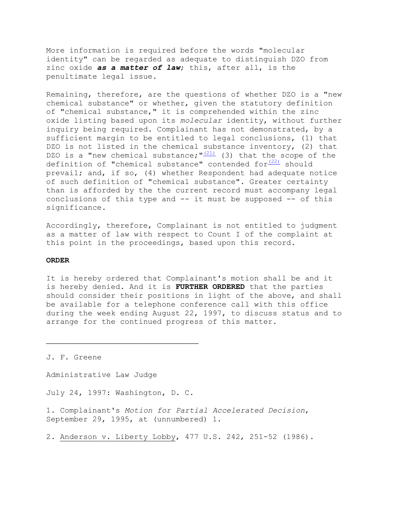More information is required before the words "molecular identity" can be regarded as adequate to distinguish DZO from zinc oxide *as a matter of law*; this, after all, is the penultimate legal issue.

Remaining, therefore, are the questions of whether DZO is a "new chemical substance" or whether, given the statutory definition of "chemical substance," it is comprehended within the zinc oxide listing based upon its *molecular* identity, without further inquiry being required. Complainant has not demonstrated, by a sufficient margin to be entitled to legal conclusions, (1) that DZO is not listed in the chemical substance inventory, (2) that DZO is a "new chemical substance;  $\frac{1}{21}$  (3) that the scope of the definition of "chemical substance" contended fo[r](file://w1818tdcay008/share/Projects/rxx00031/dev_internet_aljhomep/web/orders/cconcord.htm%23N_22_)  $(22)$  should prevail; and, if so, (4) whether Respondent had adequate notice of such definition of "chemical substance". Greater certainty than is afforded by the the current record must accompany legal conclusions of this type and -- it must be supposed -- of this significance.

Accordingly, therefore, Complainant is not entitled to judgment as a matter of law with respect to Count I of the complaint at this point in the proceedings, based upon this record.

## **ORDER**

It is hereby ordered that Complainant's motion shall be and it is hereby denied. And it is **FURTHER ORDERED** that the parties should consider their positions in light of the above, and shall be available for a telephone conference call with this office during the week ending August 22, 1997, to discuss status and to arrange for the continued progress of this matter.

J. F. Greene

Administrative Law Judge

July 24, 1997: Washington, D. C.

1. Complainant's *Motion for Partial Accelerated Decision*, September 29, 1995, at (unnumbered) 1.

2. Anderson v. Liberty Lobby, 477 U.S. 242, 251-52 (1986).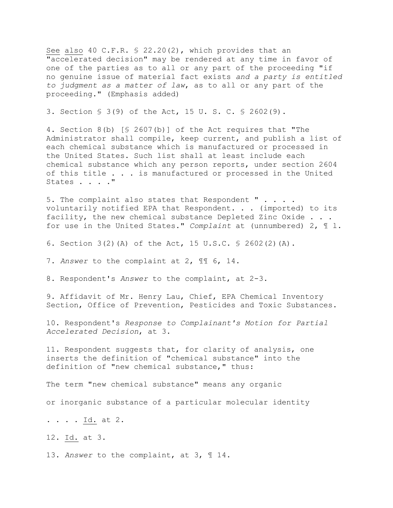See also 40 C.F.R. § 22.20(2), which provides that an "accelerated decision" may be rendered at any time in favor of one of the parties as to all or any part of the proceeding "if no genuine issue of material fact exists *and a party is entitled to judgment as a matter of law*, as to all or any part of the proceeding." (Emphasis added)

3. Section § 3(9) of the Act, 15 U. S. C. § 2602(9).

4. Section 8(b) [§ 2607(b)] of the Act requires that "The Administrator shall compile, keep current, and publish a list of each chemical substance which is manufactured or processed in the United States. Such list shall at least include each chemical substance which any person reports, under section 2604 of this title . . . is manufactured or processed in the United States . . . . "

5. The complaint also states that Respondent " . . . . voluntarily notified EPA that Respondent. . . (imported) to its facility, the new chemical substance Depleted Zinc Oxide . . . for use in the United States." *Complaint* at (unnumbered) 2, ¶ l.

6. Section 3(2)(A) of the Act, 15 U.S.C. § 2602(2)(A).

7. *Answer* to the complaint at 2, ¶¶ 6, 14.

8. Respondent's *Answer* to the complaint, at 2-3.

9. Affidavit of Mr. Henry Lau, Chief, EPA Chemical Inventory Section, Office of Prevention, Pesticides and Toxic Substances.

10. Respondent's *Response to Complainant's Motion for Partial Accelerated Decision*, at 3.

11. Respondent suggests that, for clarity of analysis, one inserts the definition of "chemical substance" into the definition of "new chemical substance," thus:

The term "new chemical substance" means any organic

or inorganic substance of a particular molecular identity

. . . . Id. at 2.

12. Id. at 3.

13. *Answer* to the complaint, at 3, ¶ 14.